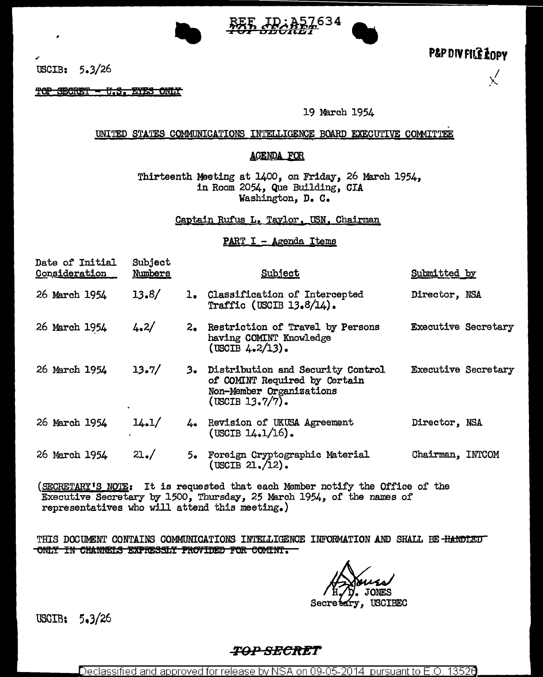

P&P DIV FILE LOPY

 $\chi'$ 

USCIB:  $5.3/26$ 

TOP SECRET - U.S. ETES ONLY

19 March 1954

### UNITED STATES COMMUNICATIONS INTELLIGENCE BOARD EXECUTIVE COMMITTEE

### **AGENDA FOR**

Thirteenth Meeting at 1400, on Friday, 26 March 1954, in Room 2054, Que Building, CIA Washington, D. C.

Captain Rufus L. Taylor, USN, Chairman

#### PART I - Agenda Items

| Date of Initial<br>Consideration | Subject<br>Numbers |    | Subject                                                                                                              | Submitted by               |  |
|----------------------------------|--------------------|----|----------------------------------------------------------------------------------------------------------------------|----------------------------|--|
| 26 March 1954                    | 13.8/              |    | 1. Classification of Intercepted<br>Traffic (USCIB $13.8/14$ ).                                                      | Director, NSA              |  |
| 26 March 1954                    | 4.2/               |    | 2. Restriction of Travel by Persons<br>having COMINT Knowledge<br>(USCIB $4.2/13$ ).                                 | <b>Executive Secretary</b> |  |
| 26 March 1954                    | 13.7/              |    | 3. Distribution and Security Control<br>of COMINT Required by Certain<br>Non-Member Organizations<br>(USCIB 13.7/7). | <b>Executive Secretary</b> |  |
| 26 March 1954                    | 14.1/              |    | 4. Revision of UKUSA Agreement<br>$(USCIB 14.1/16)$ .                                                                | Director, NSA              |  |
| 26 March 1954                    | 21.7               | 5∙ | Foreign Cryptographic Material<br>$($ USCIB $21. / 12).$                                                             | Chairman, INTCOM           |  |
| $l$ drampmany in $\mathbf{r}$    |                    |    | Tt is proposabed that saab Mombon wotifie the OPPice of the                                                          |                            |  |

(SECRETARY'S NOTE: It is requested that each Member notify the Office of the Executive Secretary by 1500, Thursday, 25 March 1954, of the names of representatives who will attend this meeting.)

THIS DOCUMENT CONTAINS COMMUNICATIONS INTELLIGENCE INFORMATION AND SHALL BE HANDLED ONLY IN CHANNELS EXPRESSLY PROVIDED FOR COMINI.

**ONES** 

Secre<sup>®</sup> **USCIBEC** 

USGIB: 5.3/26

## *TOP SECRET*

Declassified and approved for release by NSA on 09-05-2014  $\,$  pursuant to E.O. 13526  $\,$